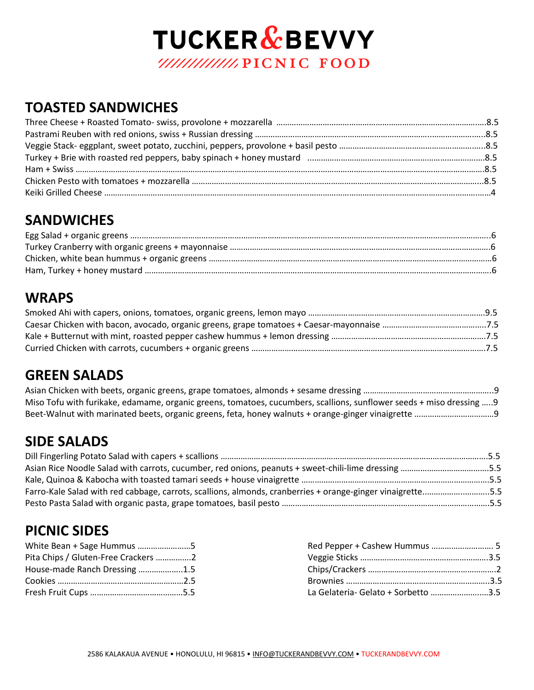# **TUCKER & BEVVY** /////////////////PICNIC FOOD

### **TOASTED SANDWICHES**

## **SANDWICHES**

### **WRAPS**

#### **GREEN SALADS**

| Miso Tofu with furikake, edamame, organic greens, tomatoes, cucumbers, scallions, sunflower seeds + miso dressing 9 |  |
|---------------------------------------------------------------------------------------------------------------------|--|
|                                                                                                                     |  |

## **SIDE SALADS**

| Asian Rice Noodle Salad with carrots, cucumber, red onions, peanuts + sweet-chili-lime dressing 5.5        |  |
|------------------------------------------------------------------------------------------------------------|--|
|                                                                                                            |  |
| Farro-Kale Salad with red cabbage, carrots, scallions, almonds, cranberries + orange-ginger vinaigrette5.5 |  |
|                                                                                                            |  |

## **PICNIC SIDES**

| White Bean + Sage Hummus 5          |                                     |
|-------------------------------------|-------------------------------------|
| Pita Chips / Gluten-Free Crackers 2 |                                     |
| House-made Ranch Dressing 1.5       |                                     |
|                                     |                                     |
|                                     | La Gelateria- Gelato + Sorbetto 3.5 |